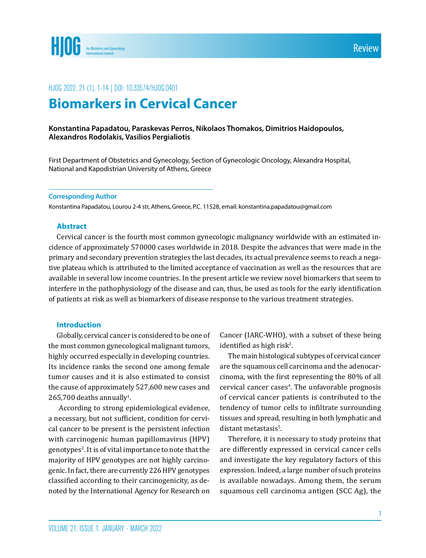

# HJOG 2022, 21 (1), 1-14 | DOI: 10,33574/HJOG,0401

# **Biomarkers in Cervical Cancer**

#### **Konstantina Papadatou, Paraskevas Perros, Nikolaos Thomakos, Dimitrios Haidopoulos, Alexandros Rodolakis, Vasilios Pergialiotis**

First Department of Obstetrics and Gynecology, Section of Gynecologic Oncology, Alexandra Hospital, National and Kapodistrian University of Athens, Greece

#### **Corresponding Author**

Konstantina Papadatou, Lourou 2-4 str, Athens, Greece, P.C. 11528, email: konstantina.papadatou@gmail.com

#### **Abstract**

Cervical cancer is the fourth most common gynecologic malignancy worldwide with an estimated incidence of approximately 570000 cases worldwide in 2018. Despite the advances that were made in the primary and secondary prevention strategies the last decades, its actual prevalence seems to reach a negative plateau which is attributed to the limited acceptance of vaccination as well as the resources that are available in several low income countries. In the present article we review novel biomarkers that seem to interfere in the pathophysiology of the disease and can, thus, be used as tools for the early identification of patients at risk as well as biomarkers of disease response to the various treatment strategies.

#### **Introduction**

Globally, cervical cancer is considered to be one of the most common gynecological malignant tumors, highly occurred especially in developing countries. Its incidence ranks the second one among female tumor causes and it is also estimated to consist the cause of approximately 527,600 new cases and  $265,700$  deaths annually<sup>1</sup>.

 According to strong epidemiological evidence, a necessary, but not sufficient, condition for cervical cancer to be present is the persistent infection with carcinogenic human papillomavirus (HPV) genotypes<sup>2</sup>. It is of vital importance to note that the majority of HPV genotypes are not highly carcinogenic. In fact, there are currently 226 HPV genotypes classified according to their carcinogenicity, as denoted by the International Agency for Research on

Cancer (IARC-WHO), with a subset of these being identified as high risk $3$ .

The main histological subtypes of cervical cancer are the squamous cell carcinoma and the adenocarcinoma, with the first representing the 80% of all cervical cancer cases<sup>4</sup>. The unfavorable prognosis of cervical cancer patients is contributed to the tendency of tumor cells to infiltrate surrounding tissues and spread, resulting in both lymphatic and distant metastasis<sup>5</sup>.

Therefore, it is necessary to study proteins that are differently expressed in cervical cancer cells and investigate the key regulatory factors of this expression. Indeed, a large number of such proteins is available nowadays. Among them, the serum squamous cell carcinoma antigen (SCC Ag), the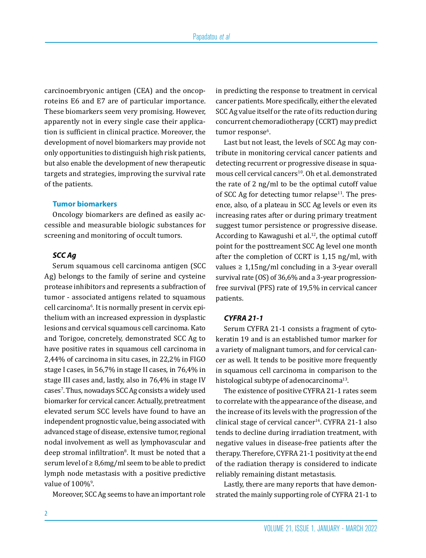carcinoembryonic antigen (CEA) and the oncoproteins E6 and E7 are of particular importance. Τhese biomarkers seem very promising. However, apparently not in every single case their application is sufficient in clinical practice. Moreover, the development of novel biomarkers may provide not only opportunities to distinguish high risk patients, but also enable the development of new therapeutic targets and strategies, improving the survival rate of the patients.

#### **Tumor biomarkers**

Oncology biomarkers are defined as easily accessible and measurable biologic substances for screening and monitoring of occult tumors.

## *SCC Ag*

Serum squamous cell carcinoma antigen (SCC Ag) belongs to the family of serine and cysteine protease inhibitors and represents a subfraction of tumor - associated antigens related to squamous cell carcinoma6 . It is normally present in cervix epithelium with an increased expression in dysplastic lesions and cervical squamous cell carcinoma. Kato and Torigoe, concretely, demonstrated SCC Ag to have positive rates in squamous cell carcinoma in 2,44% of carcinoma in situ cases, in 22,2% in FIGO stage I cases, in 56,7% in stage II cases, in 76,4% in stage III cases and, lastly, also in 76,4% in stage IV cases7 . Thus, nowadays SCC Ag consists a widely used biomarker for cervical cancer. Actually, pretreatment elevated serum SCC levels have found to have an independent prognostic value, being associated with advanced stage of disease, extensive tumor, regional nodal involvement as well as lymphovascular and deep stromal infiltration<sup>8</sup>. It must be noted that a serum level of ≥ 8,6mg/ml seem to be able to predict lymph node metastasis with a positive predictive value of  $100\%$ <sup>9</sup>.

Moreover, SCC Ag seems to have an important role

in predicting the response to treatment in cervical cancer patients. More specifically, either the elevated SCC Ag value itself or the rate of its reduction during concurrent chemoradiotherapy (CCRT) may predict tumor response<sup>6</sup>.

Last but not least, the levels of SCC Ag may contribute in monitoring cervical cancer patients and detecting recurrent or progressive disease in squamous cell cervical cancers<sup>10</sup>. Oh et al. demonstrated the rate of 2 ng/ml to be the optimal cutoff value of SCC Ag for detecting tumor relapse $11$ . The presence, also, of a plateau in SCC Ag levels or even its increasing rates after or during primary treatment suggest tumor persistence or progressive disease. According to Kawagushi et al.<sup>12</sup>, the optimal cutoff point for the posttreament SCC Ag level one month after the completion of CCRT is 1,15 ng/ml, with values  $\geq 1.15$ ng/ml concluding in a 3-year overall survival rate (OS) of 36,6% and a 3-year progressionfree survival (PFS) rate of 19,5% in cervical cancer patients.

#### *CYFRA 21-1*

Serum CYFRA 21-1 consists a fragment of cytokeratin 19 and is an established tumor marker for a variety of malignant tumors, and for cervical cancer as well. It tends to be positive more frequently in squamous cell carcinoma in comparison to the histological subtype of adenocarcinoma<sup>13</sup>.

The existence of positive CYFRA 21-1 rates seem to correlate with the appearance of the disease, and the increase of its levels with the progression of the clinical stage of cervical cancer<sup>14</sup>. CYFRA 21-1 also tends to decline during irradiation treatment, with negative values in disease-free patients after the therapy. Therefore, CYFRA 21-1 positivity at the end of the radiation therapy is considered to indicate reliably remaining distant metastasis.

Lastly, there are many reports that have demonstrated the mainly supporting role of CYFRA 21-1 to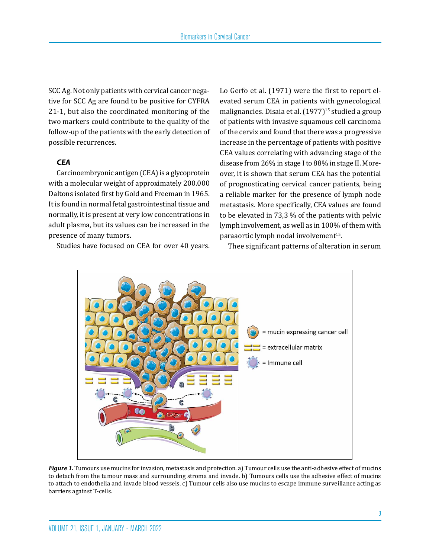SCC Ag. Not only patients with cervical cancer negative for SCC Ag are found to be positive for CYFRA 21-1, but also the coordinated monitoring of the two markers could contribute to the quality of the follow-up of the patients with the early detection of possible recurrences.

# *CEA*

Carcinoembryonic antigen (CEA) is a glycoprotein with a molecular weight of approximately 200.000 Daltons isolated first by Gold and Freeman in 1965. It is found in normal fetal gastrointestinal tissue and normally, it is present at very low concentrations in adult plasma, but its values can be increased in the presence of many tumors.

Studies have focused on CEA for over 40 years.

Lo Gerfo et al. (1971) were the first to report elevated serum CEA in patients with gynecological malignancies. Disaia et al. (1977)<sup>15</sup> studied a group of patients with invasive squamous cell carcinoma of the cervix and found that there was a progressive increase in the percentage of patients with positive CEA values correlating with advancing stage of the disease from 26% in stage I to 88% in stage II. Moreover, it is shown that serum CEA has the potential of prognosticating cervical cancer patients, being a reliable marker for the presence of lymph node metastasis. More specifically, CEA values are found to be elevated in 73,3 % of the patients with pelvic lymph involvement, as well as in 100% of them with paraaortic lymph nodal involvement<sup>15</sup>.

Thee significant patterns of alteration in serum



*Figure 1.* Tumours use mucins for invasion, metastasis and protection. a) Tumour cells use the anti-adhesive effect of mucins to detach from the tumour mass and surrounding stroma and invade. b) Tumours cells use the adhesive effect of mucins to attach to endothelia and invade blood vessels. c) Tumour cells also use mucins to escape immune surveillance acting as barriers against T-cells.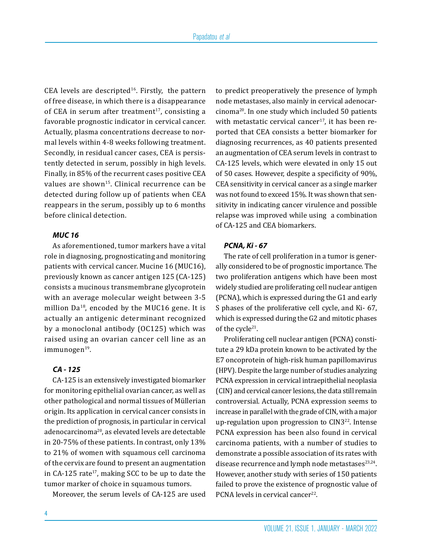CEA levels are descripted $16$ . Firstly, the pattern of free disease, in which there is a disappearance of CEA in serum after treatment $17$ , consisting a favorable prognostic indicator in cervical cancer. Actually, plasma concentrations decrease to normal levels within 4-8 weeks following treatment. Secondly, in residual cancer cases, CEA is persistently detected in serum, possibly in high levels. Finally, in 85% of the recurrent cases positive CEA values are shown<sup>15</sup>. Clinical recurrence can be detected during follow up of patients when CEA reappears in the serum, possibly up to 6 months before clinical detection.

# *MUC 16*

As aforementioned, tumor markers have a vital role in diagnosing, prognosticating and monitoring patients with cervical cancer. Mucine 16 (MUC16), previously known as cancer antigen 125 (CA-125) consists a mucinous transmembrane glycoprotein with an average molecular weight between 3-5 million  $Da^{18}$ , encoded by the MUC16 gene. It is actually an antigenic determinant recognized by a monoclonal antibody (OC125) which was raised using an ovarian cancer cell line as an immunogen<sup>19</sup>.

# *CA - 125*

CA-125 is an extensively investigated biomarker for monitoring epithelial ovarian cancer, as well as other pathological and normal tissues of Müllerian origin. Its application in cervical cancer consists in the prediction of prognosis, in particular in cervical adenocarcinoma20, as elevated levels are detectable in 20-75% of these patients. In contrast, only 13% to 21% of women with squamous cell carcinoma of the cervix are found to present an augmentation in CA-125 rate $17$ , making SCC to be up to date the tumor marker of choice in squamous tumors.

Moreover, the serum levels of CA-125 are used

to predict preoperatively the presence of lymph node metastases, also mainly in cervical adenocarcinoma20. In one study which included 50 patients with metastatic cervical cancer<sup>17</sup>, it has been reported that CEA consists a better biomarker for diagnosing recurrences, as 40 patients presented an augmentation of CEA serum levels in contrast to CA-125 levels, which were elevated in only 15 out of 50 cases. However, despite a specificity of 90%, CEA sensitivity in cervical cancer as a single marker was not found to exceed 15%. It was shown that sensitivity in indicating cancer virulence and possible relapse was improved while using a combination of CA-125 and CEA biomarkers.

#### *PCNA, Ki - 67*

The rate of cell proliferation in a tumor is generally considered to be of prognostic importance. The two proliferation antigens which have been most widely studied are proliferating cell nuclear antigen (PCNA), which is expressed during the G1 and early S phases of the proliferative cell cycle, and Ki- 67, which is expressed during the G2 and mitotic phases of the cycle<sup>21</sup>.

Proliferating cell nuclear antigen (PCNA) constitute a 29 kDa protein known to be activated by the E7 oncoprotein of high-risk human papillomavirus (HPV). Despite the large number of studies analyzing PCNA expression in cervical intraepithelial neoplasia (CIN) and cervical cancer lesions, the data still remain controversial. Actually, PCNA expression seems to increase in parallel with the grade of CIN, with a major up-regulation upon progression to CIN322. Intense PCNA expression has been also found in cervical carcinoma patients, with a number of studies to demonstrate a possible association of its rates with disease recurrence and lymph node metastases<sup>23,24</sup>. However, another study with series of 150 patients failed to prove the existence of prognostic value of PCNA levels in cervical cancer<sup>22</sup>.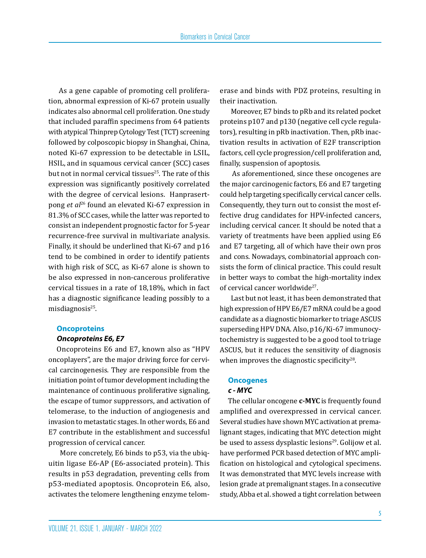As a gene capable of promoting cell proliferation, abnormal expression of Ki-67 protein usually indicates also abnormal cell proliferation. One study that included paraffin specimens from 64 patients with atypical Thinprep Cytology Test (TCT) screening followed by colposcopic biopsy in Shanghai, China, noted Ki-67 expression to be detectable in LSIL, HSIL, and in squamous cervical cancer (SCC) cases but not in normal cervical tissues<sup>25</sup>. The rate of this expression was significantly positively correlated with the degree of cervical lesions. Hanprasertpong *et al*26 found an elevated Ki-67 expression in 81.3% of SCC cases, while the latter was reported to consist an independent prognostic factor for 5-year recurrence-free survival in multivariate analysis. Finally, it should be underlined that Ki-67 and p16 tend to be combined in order to identify patients with high risk of SCC, as Ki-67 alone is shown to be also expressed in non-cancerous proliferative cervical tissues in a rate of 18,18%, which in fact has a diagnostic significance leading possibly to a misdiagnosis $25$ .

#### **Oncoproteins**

#### *Oncoproteins E6, E7*

Oncoproteins E6 and E7, known also as "HPV oncoplayers", are the major driving force for cervical carcinogenesis. They are responsible from the initiation point of tumor development including the maintenance of continuous proliferative signaling, the escape of tumor suppressors, and activation of telomerase, to the induction of angiogenesis and invasion to metastatic stages. In other words, E6 and E7 contribute in the establishment and successful progression of cervical cancer.

 More concretely, E6 binds to p53, via the ubiquitin ligase E6-AP (E6-associated protein). This results in p53 degradation, preventing cells from p53-mediated apoptosis. Oncoprotein E6, also, activates the telomere lengthening enzyme telomerase and binds with PDZ proteins, resulting in their inactivation.

 Moreover, E7 binds to pRb and its related pocket proteins p107 and p130 (negative cell cycle regulators), resulting in pRb inactivation. Then, pRb inactivation results in activation of E2F transcription factors, cell cycle progression/cell proliferation and, finally, suspension of apoptosis.

 As aforementioned, since these oncogenes are the major carcinogenic factors, E6 and E7 targeting could help targeting specifically cervical cancer cells. Consequently, they turn out to consist the most effective drug candidates for HPV-infected cancers, including cervical cancer. It should be noted that a variety of treatments have been applied using E6 and E7 targeting, all of which have their own pros and cons. Nowadays, combinatorial approach consists the form of clinical practice. This could result in better ways to combat the high-mortality index of cervical cancer worldwide<sup>27</sup>.

 Last but not least, it has been demonstrated that high expression of HPV E6/E7 mRNA could be a good candidate as a diagnostic biomarker to triage ASCUS superseding HPV DNA. Also, p16/Ki-67 immunocytochemistry is suggested to be a good tool to triage ASCUS, but it reduces the sensitivity of diagnosis when improves the diagnostic specificity<sup>28</sup>.

#### **Oncogenes** *c - MYC*

The cellular oncogene **c-MYC** is frequently found amplified and overexpressed in cervical cancer. Several studies have shown MYC activation at premalignant stages, indicating that MYC detection might be used to assess dysplastic lesions<sup>29</sup>. Golijow et al. have performed PCR based detection of MYC amplification on histological and cytological specimens. It was demonstrated that MYC levels increase with lesion grade at premalignant stages. In a consecutive study, Abba et al. showed a tight correlation between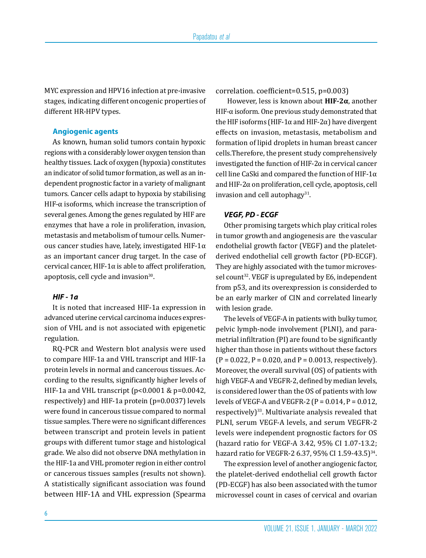MYC expression and HPV16 infection at pre-invasive stages, indicating different oncogenic properties of different HR-HPV types.

#### **Angiogenic agents**

Αs known, human solid tumors contain hypoxic regions with a considerably lower oxygen tension than healthy tissues. Lack of oxygen (hypoxia) constitutes an indicator of solid tumor formation, as well as an independent prognostic factor in a variety of malignant tumors. Cancer cells adapt to hypoxia by stabilising HIF-α isoforms, which increase the transcription of several genes. Among the genes regulated by HIF are enzymes that have a role in proliferation, invasion, metastasis and metabolism of tumour cells. Numerous cancer studies have, lately, investigated HIF-1 $\alpha$ as an important cancer drug target. In the case of cervical cancer, HIF-1 $\alpha$  is able to affect proliferation, apoptosis, cell cycle and invasion<sup>30</sup>.

#### *HIF - 1a*

It is noted that increased HIF-1a expression in advanced uterine cervical carcinoma induces expression of VHL and is not associated with epigenetic regulation.

RQ-PCR and Western blot analysis were used to compare HIF-1a and VHL transcript and HIF-1a protein levels in normal and cancerous tissues. According to the results, significantly higher levels of HIF-1a and VHL transcript (p<0.0001 & p=0.0042, respectively) and HIF-1a protein (p=0.0037) levels were found in cancerous tissue compared to normal tissue samples. There were no significant differences between transcript and protein levels in patient groups with different tumor stage and histological grade. We also did not observe DNA methylation in the HIF-1a and VHL promoter region in either control or cancerous tissues samples (results not shown). A statistically significant association was found between HIF-1A and VHL expression (Spearma

correlation. coefficient=0.515, p=0.003)

 However, less is known about **HIF-2α**, another HIF-α isoform. One previous study demonstrated that the HIF isoforms (HIF-1α and HIF-2α) have divergent effects on invasion, metastasis, metabolism and formation of lipid droplets in human breast cancer cells.Therefore, the present study comprehensively investigated the function of HIF- $2\alpha$  in cervical cancer cell line CaSki and compared the function of HIF-1 $\alpha$ and HIF-2α on proliferation, cell cycle, apoptosis, cell invasion and cell autophagy $31$ .

#### *VEGF, PD - ECGF*

Other promising targets which play critical roles in tumor growth and angiogenesis are the vascular endothelial growth factor (VEGF) and the plateletderived endothelial cell growth factor (PD-ECGF). They are highly associated with the tumor microvessel count<sup>32</sup>. VEGF is upregulated by E6, independent from p53, and its overexpression is considerded to be an early marker of CIN and correlated linearly with lesion grade.

The levels of VEGF-A in patients with bulky tumor, pelvic lymph-node involvement (PLNI), and parametrial infiltration (PI) are found to be significantly higher than those in patients without these factors  $(P = 0.022, P = 0.020, and P = 0.0013, respectively).$ Moreover, the overall survival (OS) of patients with high VEGF-A and VEGFR-2, defined by median levels, is considered lower than the OS of patients with low levels of VEGF-A and VEGFR-2 ( $P = 0.014$ ,  $P = 0.012$ , respectively) $33$ . Multivariate analysis revealed that PLNI, serum VEGF-A levels, and serum VEGFR-2 levels were independent prognostic factors for OS (hazard ratio for VEGF-A 3.42, 95% CI 1.07-13.2; hazard ratio for VEGFR-2 6.37, 95% CI 1.59-43.5)<sup>34</sup>.

The expression level of another angiogenic factor, the platelet-derived endothelial cell growth factor (PD-ECGF) has also been associated with the tumor microvessel count in cases of cervical and ovarian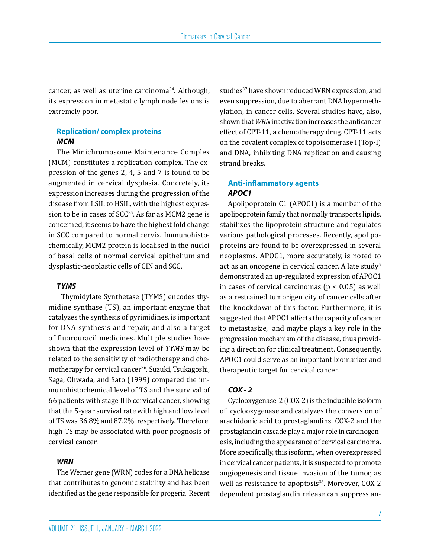cancer, as well as uterine carcinoma34. Although, its expression in metastatic lymph node lesions is extremely poor.

# **Replication/ complex proteins**  *MCM*

The Minichromosome Maintenance Complex (MCM) constitutes a replication complex. The expression of the genes 2, 4, 5 and 7 is found to be augmented in cervical dysplasia. Concretely, its expression increases during the progression of the disease from LSIL to HSIL, with the highest expression to be in cases of SCC<sup>35</sup>. As far as MCM2 gene is concerned, it seems to have the highest fold change in SCC compared to normal cervix. Immunohistochemically, MCM2 protein is localised in the nuclei of basal cells of normal cervical epithelium and dysplastic-neoplastic cells of CIN and SCC.

## *TYMS*

 Thymidylate Synthetase (TYMS) encodes thymidine synthase (TS), an important enzyme that catalyzes the synthesis of pyrimidines, is important for DNA synthesis and repair, and also a target of fluorouracil medicines. Multiple studies have shown that the expression level of *TYMS* may be related to the sensitivity of radiotherapy and chemotherapy for cervical cancer<sup>36</sup>. Suzuki, Tsukagoshi, Saga, Ohwada, and Sato (1999) compared the immunohistochemical level of TS and the survival of 66 patients with stage IIIb cervical cancer, showing that the 5-year survival rate with high and low level of TS was 36.8% and 87.2%, respectively. Therefore, high TS may be associated with poor prognosis of cervical cancer.

## *WRN*

The Werner gene (WRN) codes for a DNA helicase that contributes to genomic stability and has been identified as the gene responsible for progeria. Recent studies<sup>37</sup> have shown reduced WRN expression, and even suppression, due to aberrant DNA hypermethylation, in cancer cells. Several studies have, also, shown that *WRN* inactivation increases the anticancer effect of CPT-11, a chemotherapy drug. CPT-11 acts on the covalent complex of topoisomerase I (Top-I) and DNA, inhibiting DNA replication and causing strand breaks.

# **Anti-inflammatory agents** *APOC1*

Apolipoprotein C1 (APOC1) is a member of the apolipoprotein family that normally transports lipids, stabilizes the lipoprotein structure and regulates various pathological processes. Recently, apolipoproteins are found to be overexpressed in several neoplasms. APOC1, more accurately, is noted to act as an oncogene in cervical cancer. A late study<sup>5</sup> demonstrated an up-regulated expression of APOC1 in cases of cervical carcinomas ( $p < 0.05$ ) as well as a restrained tumorigenicity of cancer cells after the knockdown of this factor. Furthermore, it is suggested that APOC1 affects the capacity of cancer to metastasize, and maybe plays a key role in the progression mechanism of the disease, thus providing a direction for clinical treatment. Consequently, APOC1 could serve as an important biomarker and therapeutic target for cervical cancer.

## *COX - 2*

Cyclooxygenase-2 (COX-2) is the inducible isoform of cyclooxygenase and catalyzes the conversion of arachidonic acid to prostaglandins. COX-2 and the prostaglandin cascade play a major role in carcinogenesis, including the appearance of cervical carcinoma. More specifically, this isoform, when overexpressed in cervical cancer patients, it is suspected to promote angiogenesis and tissue invasion of the tumor, as well as resistance to apoptosis<sup>38</sup>. Moreover, COX-2 dependent prostaglandin release can suppress an-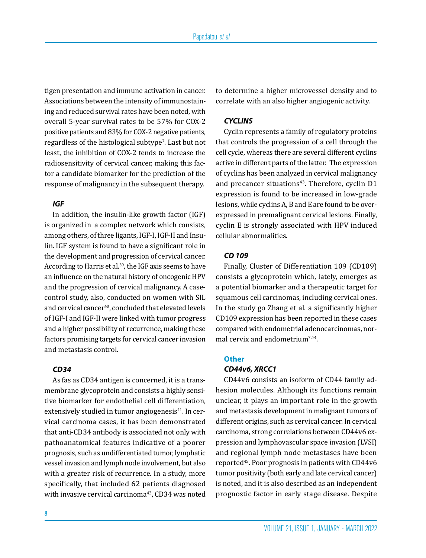tigen presentation and immune activation in cancer. Associations between the intensity of immunostaining and reduced survival rates have been noted, with overall 5-year survival rates to be 57% for COX-2 positive patients and 83% for COX-2 negative patients, regardless of the histological subtype7 . Last but not least, the inhibition of COX-2 tends to increase the radiosensitivity of cervical cancer, making this factor a candidate biomarker for the prediction of the response of malignancy in the subsequent therapy.

# *IGF*

In addition, the insulin-like growth factor (IGF) is organized in a complex network which consists, among others, of three ligants, IGF-I, IGF-II and Insulin. IGF system is found to have a significant role in the development and progression of cervical cancer. According to Harris et al.<sup>39</sup>, the IGF axis seems to have an influence on the natural history of oncogenic HPV and the progression of cervical malignancy. A casecontrol study, also, conducted on women with SIL and cervical cancer<sup>40</sup>, concluded that elevated levels of IGF-I and IGF-II were linked with tumor progress and a higher possibility of recurrence, making these factors promising targets for cervical cancer invasion and metastasis control.

# *CD34*

As fas as CD34 antigen is concerned, it is a transmembrane glycoprotein and consists a highly sensitive biomarker for endothelial cell differentiation, extensively studied in tumor angiogenesis $41$ . In cervical carcinoma cases, it has been demonstrated that anti-CD34 antibody is associated not only with pathoanatomical features indicative of a poorer prognosis, such as undifferentiated tumor, lymphatic vessel invasion and lymph node involvement, but also with a greater risk of recurrence. In a study, more specifically, that included 62 patients diagnosed with invasive cervical carcinoma<sup>42</sup>, CD34 was noted to determine a higher microvessel density and to correlate with an also higher angiogenic activity.

#### *CYCLINS*

Cyclin represents a family of regulatory proteins that controls the progression of a cell through the cell cycle, whereas there are several different cyclins active in different parts of the latter. The expression of cyclins has been analyzed in cervical malignancy and precancer situations $43$ . Therefore, cyclin D1 expression is found to be increased in low-grade lesions, while cyclins A, B and E are found to be overexpressed in premalignant cervical lesions. Finally, cyclin E is strongly associated with HPV induced cellular abnormalities.

## *CD 109*

Finally, Cluster of Differentiation 109 (CD109) consists a glycoprotein which, lately, emerges as a potential biomarker and a therapeutic target for squamous cell carcinomas, including cervical ones. In the study go Zhang et al. a significantly higher CD109 expression has been reported in these cases compared with endometrial adenocarcinomas, normal cervix and endometrium7,44.

# **Other**

# *CD44v6, XRCC1*

CD44v6 consists an isoform of CD44 family adhesion molecules. Although its functions remain unclear, it plays an important role in the growth and metastasis development in malignant tumors of different origins, such as cervical cancer. In cervical carcinoma, strong correlations between CD44v6 expression and lymphovascular space invasion (LVSI) and regional lymph node metastases have been reported45. Poor prognosis in patients with CD44v6 tumor positivity (both early and late cervical cancer) is noted, and it is also described as an independent prognostic factor in early stage disease. Despite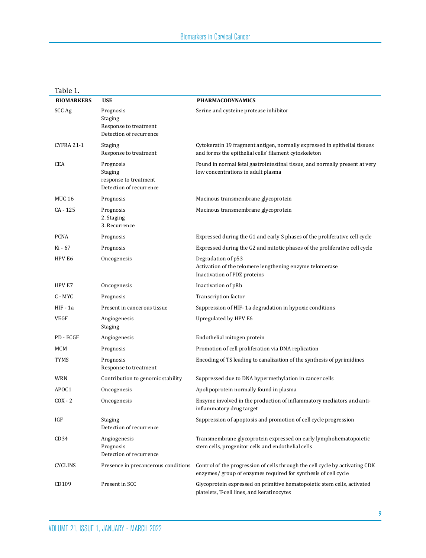| <b>BIOMARKERS</b> | <b>USE</b>                                                               | <b>PHARMACODYNAMICS</b>                                                                                                                        |
|-------------------|--------------------------------------------------------------------------|------------------------------------------------------------------------------------------------------------------------------------------------|
| SCC Ag            | Prognosis<br>Staging<br>Response to treatment<br>Detection of recurrence | Serine and cysteine protease inhibitor                                                                                                         |
| <b>CYFRA 21-1</b> | Staging<br>Response to treatment                                         | Cytokeratin 19 fragment antigen, normally expressed in epithelial tissues<br>and forms the epithelial cells' filament cytoskeleton             |
| <b>CEA</b>        | Prognosis<br>Staging<br>response to treatment<br>Detection of recurrence | Found in normal fetal gastrointestinal tissue, and normally present at very<br>low concentrations in adult plasma                              |
| <b>MUC 16</b>     | Prognosis                                                                | Mucinous transmembrane glycoprotein                                                                                                            |
| CA - 125          | Prognosis<br>2. Staging<br>3. Recurrence                                 | Mucinous transmembrane glycoprotein                                                                                                            |
| <b>PCNA</b>       | Prognosis                                                                | Expressed during the G1 and early S phases of the proliferative cell cycle                                                                     |
| Ki - 67           | Prognosis                                                                | Expressed during the G2 and mitotic phases of the proliferative cell cycle                                                                     |
| HPV E6            | Oncogenesis                                                              | Degradation of p53<br>Activation of the telomere lengthening enzyme telomerase<br>Inactivation of PDZ proteins                                 |
| HPV E7            | Oncogenesis                                                              | Inactivation of pRb                                                                                                                            |
| C - MYC           | Prognosis                                                                | Transcription factor                                                                                                                           |
| HIF - 1a          | Present in cancerous tissue                                              | Suppression of HIF-1a degradation in hypoxic conditions                                                                                        |
| <b>VEGF</b>       | Angiogenesis<br>Staging                                                  | Upregulated by HPV E6                                                                                                                          |
| PD - ECGF         | Angiogenesis                                                             | Endothelial mitogen protein                                                                                                                    |
| MCM               | Prognosis                                                                | Promotion of cell proliferation via DNA replication                                                                                            |
| <b>TYMS</b>       | Prognosis<br>Response to treatment                                       | Encoding of TS leading to canalization of the synthesis of pyrimidines                                                                         |
| WRN               | Contribution to genomic stability                                        | Suppressed due to DNA hypermethylation in cancer cells                                                                                         |
| APOC1             | Oncogenesis                                                              | Apolipoprotein normally found in plasma                                                                                                        |
| $COX - 2$         | Oncogenesis                                                              | Enzyme involved in the production of inflammatory mediators and anti-<br>inflammatory drug target                                              |
| IGF               | Staging<br>Detection of recurrence                                       | Suppression of apoptosis and promotion of cell cycle progression                                                                               |
| CD <sub>34</sub>  | Angiogenesis<br>Prognosis<br>Detection of recurrence                     | Transmembrane glycoprotein expressed on early lymphohematopoietic<br>stem cells, progenitor cells and endothelial cells                        |
| <b>CYCLINS</b>    | Presence in precancerous conditions                                      | Control of the progression of cells through the cell cycle by activating CDK<br>enzymes/ group of enzymes required for synthesis of cell cycle |
| CD109             | Present in SCC                                                           | Glycoprotein expressed on primitive hematopoietic stem cells, activated<br>platelets, T-cell lines, and keratinocytes                          |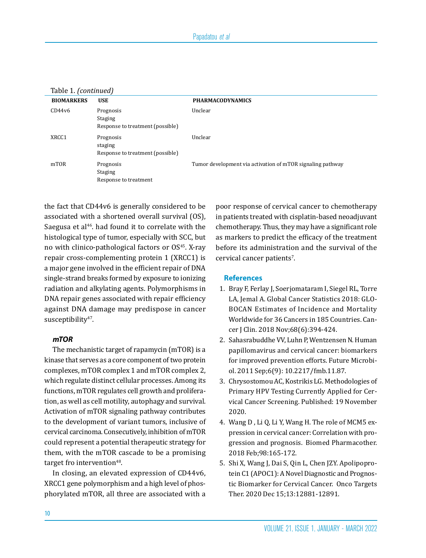| Table 1. (continued) |                                                                 |                                                            |  |
|----------------------|-----------------------------------------------------------------|------------------------------------------------------------|--|
| <b>BIOMARKERS</b>    | <b>USE</b>                                                      | <b>PHARMACODYNAMICS</b>                                    |  |
| CD44v6               | Prognosis<br><b>Staging</b><br>Response to treatment (possible) | Unclear                                                    |  |
| XRCC1                | Prognosis<br>staging<br>Response to treatment (possible)        | Unclear                                                    |  |
| mTOR                 | Prognosis<br><b>Staging</b><br>Response to treatment            | Tumor development via activation of mTOR signaling pathway |  |

the fact that CD44v6 is generally considered to be associated with a shortened overall survival (OS), Saegusa et al<sup>46</sup>. had found it to correlate with the histological type of tumor, especially with SCC, but no with clinico-pathological factors or OS45. X-ray repair cross-complementing protein 1 (XRCC1) is a major gene involved in the efficient repair of DNA single-strand breaks formed by exposure to ionizing radiation and alkylating agents. Polymorphisms in DNA repair genes associated with repair efficiency against DNA damage may predispose in cancer susceptibility<sup>47</sup>.

# *mTOR*

The mechanistic target of rapamycin (mTOR) is a kinase that serves as a core component of two protein complexes, mTOR complex 1 and mTOR complex 2, which regulate distinct cellular processes. Among its functions, mTOR regulates cell growth and proliferation, as well as cell motility, autophagy and survival. Activation of mTOR signaling pathway contributes to the development of variant tumors, inclusive of cervical carcinoma. Consecutively, inhibition of mTOR could represent a potential therapeutic strategy for them, with the mTOR cascade to be a promising target fro intervention<sup>48</sup>.

In closing, an elevated expression of CD44v6, XRCC1 gene polymorphism and a high level of phosphorylated mTOR, all three are associated with a

poor response of cervical cancer to chemotherapy in patients treated with cisplatin-based neoadjuvant chemotherapy. Thus, they may have a significant role as markers to predict the efficacy of the treatment before its administration and the survival of the  $c$ ervical cancer patients<sup>7</sup>.

#### **References**

- 1. Bray F, Ferlay J, Soerjomataram I, Siegel RL, Torre LA, Jemal A. Global Cancer Statistics 2018: GLO-BOCAN Estimates of Incidence and Mortality Worldwide for 36 Cancers in 185 Countries. Cancer J Clin. 2018 Nov;68(6):394-424.
- 2. Sahasrabuddhe VV, Luhn P, Wentzensen N. Human papillomavirus and cervical cancer: biomarkers for improved prevention efforts. Future Microbiol. 2011 Sep;6(9): 10.2217/fmb.11.87.
- 3. Chrysostomou AC, Kostrikis LG. Methodologies of Primary HPV Testing Currently Applied for Cervical Cancer Screening. Published: 19 November 2020.
- 4. Wang D , Li Q, Li Y, Wang H. The role of MCM5 expression in cervical cancer: Correlation with progression and prognosis. Biomed Pharmacother. 2018 Feb;98:165-172.
- 5. Shi X, Wang J, Dai S, Qin L, Chen JZY. Apolipoprotein C1 (APOC1): A Novel Diagnostic and Prognostic Biomarker for Cervical Cancer. Onco Targets Ther. 2020 Dec 15;13:12881-12891.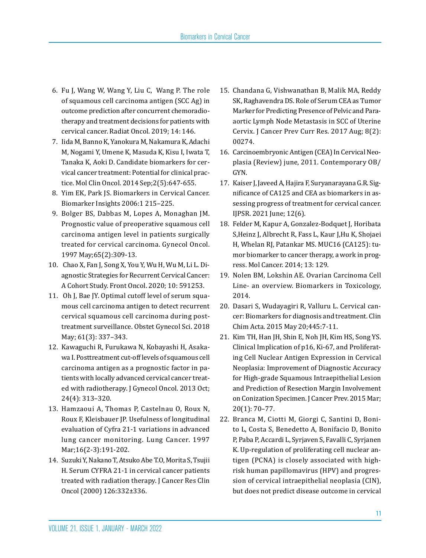- 6. Fu J, Wang W, Wang Y, Liu C, Wang P. The role of squamous cell carcinoma antigen (SCC Ag) in outcome prediction after concurrent chemoradiotherapy and treatment decisions for patients with cervical cancer. Radiat Oncol. 2019; 14: 146.
- 7. Iida M, Banno K, Yanokura M, Nakamura K, Adachi M, Nogami Y, Umene K, Masuda K, Kisu I, Iwata T, Tanaka K, Aoki D. Candidate biomarkers for cervical cancer treatment: Potential for clinical practice. Mol Clin Oncol. 2014 Sep;2(5):647-655.
- 8. Yim EK, Park JS. Biomarkers in Cervical Cancer. Biomarker Insights 2006:1 215–225.
- 9. Bolger BS, Dabbas M, Lopes A, Monaghan JM. Prognostic value of preoperative squamous cell carcinoma antigen level in patients surgically treated for cervical carcinoma. Gynecol Oncol. 1997 May;65(2):309-13.
- 10. Chao X, Fan J, Song X, You Y, Wu H, Wu M, Li L. Diagnostic Strategies for Recurrent Cervical Cancer: A Cohort Study. Front Oncol. 2020; 10: 591253.
- 11. Oh J, Bae JY. Optimal cutoff level of serum squamous cell carcinoma antigen to detect recurrent cervical squamous cell carcinoma during posttreatment surveillance. Obstet Gynecol Sci. 2018 May; 61(3): 337–343.
- 12. Kawaguchi R, Furukawa N, Kobayashi H, Asakawa I. Posttreatment cut-off levels of squamous cell carcinoma antigen as a prognostic factor in patients with locally advanced cervical cancer treated with radiotherapy. J Gynecol Oncol. 2013 Oct; 24(4): 313–320.
- 13. Hamzaoui A, Thomas P, Castelnau O, Roux N, Roux F, Kleisbauer JP. Usefulness of longitudinal evaluation of Cyfra 21-1 variations in advanced lung cancer monitoring. Lung Cancer. 1997 Mar;16(2-3):191-202.
- 14. Suzuki Y, Nakano T, Atsuko Abe T.O, Morita S, Tsujii H. Serum CYFRA 21-1 in cervical cancer patients treated with radiation therapy. J Cancer Res Clin Oncol (2000) 126:332±336.
- 15. Chandana G, Vishwanathan B, Malik MA, Reddy SK, Raghavendra DS. Role of Serum CEA as Tumor Marker for Predicting Presence of Pelvic and Paraaortic Lymph Node Metastasis in SCC of Uterine Cervix. J Cancer Prev Curr Res. 2017 Aug; 8(2): 00274.
- 16. Carcinoembryonic Antigen (CEA) In Cervical Neoplasia (Review) june, 2011. Contemporary OB/ GYN.
- 17. Kaiser J, Javeed A, Hajira F, Suryanarayana G.R. Significance of CA125 and CEA as biomarkers in assessing progress of treatment for cervical cancer. IJPSR. 2021 June; 12(6).
- 18. Felder M, Kapur A, Gonzalez-Bodquet J, Horibata S,Heinz J, Albrecht R, Fass L, Kaur J,Hu K, Shojaei H, Whelan RJ, Patankar MS. MUC16 (CA125): tumor biomarker to cancer therapy, a work in progress. Mol Cancer. 2014; 13: 129.
- 19. Nolen BM, Lokshin AE. Ovarian Carcinoma Cell Line- an overview. Biomarkers in Toxicology, 2014.
- 20. Dasari S, Wudayagiri R, Valluru L. Cervical cancer: Biomarkers for diagnosis and treatment. Clin Chim Acta. 2015 May 20;445:7-11.
- 21. Kim TH, Han JH, Shin E, Noh JH, Kim HS, Song YS. Clinical Implication of p16, Ki-67, and Proliferating Cell Nuclear Antigen Expression in Cervical Neoplasia: Improvement of Diagnostic Accuracy for High-grade Squamous Intraepithelial Lesion and Prediction of Resection Margin Involvement on Conization Specimen. J Cancer Prev. 2015 Mar; 20(1): 70–77.
- 22. Branca M, Ciotti M, Giorgi C, Santini D, Bonito L, Costa S, Benedetto A, Bonifacio D, Bonito P, Paba P, Accardi L, Syrjaven S, Favalli C, Syrjanen K. Up-regulation of proliferating cell nuclear antigen (PCNA) is closely associated with highrisk human papillomavirus (HPV) and progression of cervical intraepithelial neoplasia (CIN), but does not predict disease outcome in cervical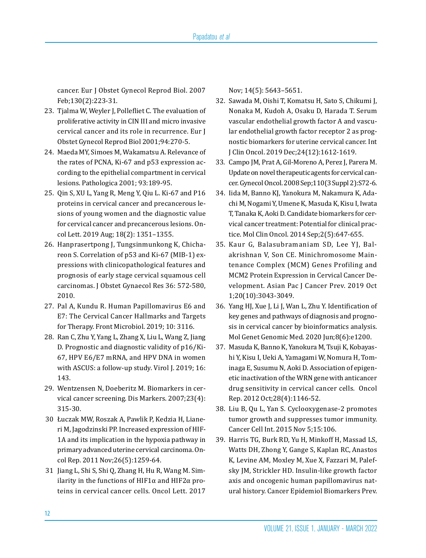cancer. Eur J Obstet Gynecol Reprod Biol. 2007 Feb;130(2):223-31.

- 23. Tjalma W, Weyler J, Pollefliet C. The evaluation of proliferative activity in CIN III and micro invasive cervical cancer and its role in recurrence. Eur J Obstet Gynecol Reprod Biol 2001;94:270-5.
- 24. Maeda MY, Simoes M, Wakamatsu A. Relevance of the rates of PCNA, Ki-67 and p53 expression according to the epithelial compartment in cervical lesions. Pathologica 2001; 93:189-95.
- 25. Qin S, XU L, Yang R, Meng Y, Qiu L. Ki-67 and P16 proteins in cervical cancer and precancerous lesions of young women and the diagnostic value for cervical cancer and precancerous lesions. Oncol Lett. 2019 Aug; 18(2): 1351–1355.
- 26. Hanprasertpong J, Tungsinmunkong K, Chichareon S. Correlation of p53 and Ki-67 (MIB-1) expressions with clinicopathological features and prognosis of early stage cervical squamous cell carcinomas. J Obstet Gynaecol Res 36: 572-580, 2010.
- 27. Pal A, Kundu R. Human Papillomavirus E6 and E7: The Cervical Cancer Hallmarks and Targets for Therapy. Front Microbiol. 2019; 10: 3116.
- 28. Ran C, Zhu Y, Yang L, Zhang X, Liu L, Wang Z, Jiang D. Prognostic and diagnostic validity of p16/Ki-67, HPV E6/E7 mRNA, and HPV DNA in women with ASCUS: a follow-up study. Virol J. 2019; 16: 143.
- 29. Wentzensen N, Doeberitz M. Biomarkers in cervical cancer screening. Dis Markers. 2007;23(4): 315-30.
- 30 Łuczak MW, Roszak A, Pawlik P, Kedzia H, Lianeri M, Jagodzinski PP. Increased expression of HIF-1A and its implication in the hypoxia pathway in primary advanced uterine cervical carcinoma. Oncol Rep. 2011 Nov;26(5):1259-64.
- 31 Jiang L, Shi S, Shi Q, Zhang H, Hu R, Wang M. Similarity in the functions of HIF1 $\alpha$  and HIF2 $\alpha$  proteins in cervical cancer cells. Oncol Lett. 2017

Nov; 14(5): 5643–5651.

- 32. Sawada M, Oishi T, Komatsu H, Sato S, Chikumi J, Nonaka M, Kudoh A, Osaku D, Harada T. Serum vascular endothelial growth factor A and vascular endothelial growth factor receptor 2 as prognostic biomarkers for uterine cervical cancer. Int J Clin Oncol. 2019 Dec;24(12):1612-1619.
- 33. Campo JM, Prat A, Gil-Moreno A, Perez J, Parera M. Update on novel therapeutic agents for cervical cancer. Gynecol Oncol. 2008 Sep;110(3 Suppl 2):S72-6.
- 34. Iida M, Banno KJ, Yanokura M, Nakamura K, Adachi M, Nogami Y, Umene K, Masuda K, Kisu I, Iwata T, Tanaka K, Aoki D. Candidate biomarkers for cervical cancer treatment: Potential for clinical practice. Mol Clin Oncol. 2014 Sep;2(5):647-655.
- 35. Kaur G, Balasubramaniam SD, Lee YJ, Balakrishnan V, Son CE. Minichromosome Maintenance Complex (MCM) Genes Profiling and MCM2 Protein Expression in Cervical Cancer Development. Asian Pac J Cancer Prev. 2019 Oct 1;20(10):3043-3049.
- 36. Yang HJ, Xue J, Li J, Wan L, Zhu Y. Identification of key genes and pathways of diagnosis and prognosis in cervical cancer by bioinformatics analysis. Mol Genet Genomic Med. 2020 Jun;8(6):e1200.
- 37. Masuda K, Banno K, Yanokura M, Tsuji K, Kobayashi Y, Kisu I, Ueki A, Yamagami W, Nomura H, Tominaga E, Susumu N, Aoki D. Association of epigenetic inactivation of the WRN gene with anticancer drug sensitivity in cervical cancer cells. Oncol Rep. 2012 Oct;28(4):1146-52.
- 38. Liu B, Qu L, Yan S. Cyclooxygenase-2 promotes tumor growth and suppresses tumor immunity. Cancer Cell Int. 2015 Nov 5;15:106.
- 39. Harris TG, Burk RD, Yu H, Minkoff H, Massad LS, Watts DH, Zhong Y, Gange S, Kaplan RC, Anastos K, Levine AM, Moxley M, Xue X, Fazzari M, Palefsky JM, Strickler HD. Insulin-like growth factor axis and oncogenic human papillomavirus natural history. Cancer Epidemiol Biomarkers Prev.